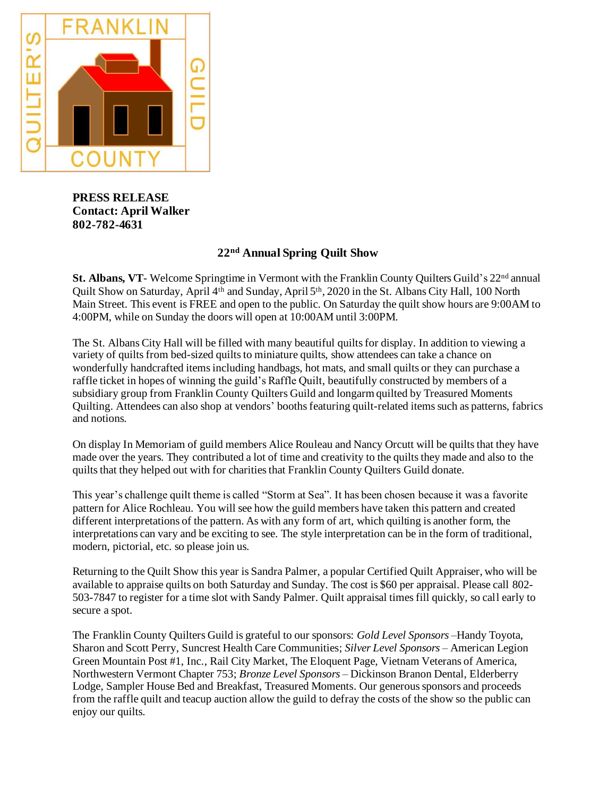

**PRESS RELEASE Contact: April Walker 802-782-4631**

## **22nd Annual Spring Quilt Show**

**St. Albans, VT**- Welcome Springtime in Vermont with the Franklin County Quilters Guild's 22<sup>nd</sup> annual Quilt Show on Saturday, April 4<sup>th</sup> and Sunday, April 5<sup>th</sup>, 2020 in the St. Albans City Hall, 100 North Main Street. This event is FREE and open to the public. On Saturday the quilt show hours are 9:00AM to 4:00PM, while on Sunday the doors will open at 10:00AM until 3:00PM.

The St. Albans City Hall will be filled with many beautiful quilts for display. In addition to viewing a variety of quilts from bed-sized quilts to miniature quilts, show attendees can take a chance on wonderfully handcrafted items including handbags, hot mats, and small quilts or they can purchase a raffle ticket in hopes of winning the guild's Raffle Quilt, beautifully constructed by members of a subsidiary group from Franklin County Quilters Guild and longarm quilted by Treasured Moments Quilting. Attendees can also shop at vendors' booths featuring quilt-related items such as patterns, fabrics and notions.

On display In Memoriam of guild members Alice Rouleau and Nancy Orcutt will be quilts that they have made over the years. They contributed a lot of time and creativity to the quilts they made and also to the quilts that they helped out with for charities that Franklin County Quilters Guild donate.

This year's challenge quilt theme is called "Storm at Sea". It has been chosen because it was a favorite pattern for Alice Rochleau. You will see how the guild members have taken this pattern and created different interpretations of the pattern. As with any form of art, which quilting is another form, the interpretations can vary and be exciting to see. The style interpretation can be in the form of traditional, modern, pictorial, etc. so please join us.

Returning to the Quilt Show this year is Sandra Palmer, a popular Certified Quilt Appraiser, who will be available to appraise quilts on both Saturday and Sunday. The cost is \$60 per appraisal. Please call 802- 503-7847 to register for a time slot with Sandy Palmer. Quilt appraisal times fill quickly, so call early to secure a spot.

The Franklin County Quilters Guild is grateful to our sponsors: *Gold Level Sponsors –*Handy Toyota, Sharon and Scott Perry, Suncrest Health Care Communities; *Silver Level Sponsors –* American Legion Green Mountain Post #1, Inc., Rail City Market, The Eloquent Page, Vietnam Veterans of America, Northwestern Vermont Chapter 753; *Bronze Level Sponsors –* Dickinson Branon Dental, Elderberry Lodge, Sampler House Bed and Breakfast, Treasured Moments. Our generous sponsors and proceeds from the raffle quilt and teacup auction allow the guild to defray the costs of the show so the public can enjoy our quilts.